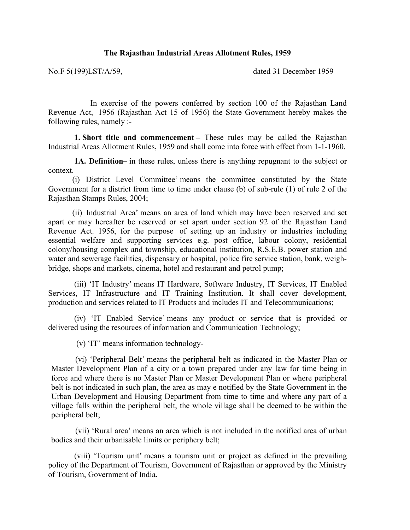## **The Rajasthan Industrial Areas Allotment Rules, 1959**

No.F 5(199)LST/A/59, dated 31 December 1959

In exercise of the powers conferred by section 100 of the Rajasthan Land Revenue Act, 1956 (Rajasthan Act 15 of 1956) the State Government hereby makes the following rules, namely :-

**1. Short title and commencement –** These rules may be called the Rajasthan Industrial Areas Allotment Rules, 1959 and shall come into force with effect from 1-1-1960.

 **1A. Definition–** in these rules, unless there is anything repugnant to the subject or context.

(i) District Level Committee' means the committee constituted by the State Government for a district from time to time under clause (b) of sub-rule (1) of rule 2 of the Rajasthan Stamps Rules, 2004;

(ii) Industrial Area' means an area of land which may have been reserved and set apart or may hereafter be reserved or set apart under section 92 of the Rajasthan Land Revenue Act. 1956, for the purpose of setting up an industry or industries including essential welfare and supporting services e.g. post office, labour colony, residential colony/housing complex and township, educational institution, R.S.E.B. power station and water and sewerage facilities, dispensary or hospital, police fire service station, bank, weighbridge, shops and markets, cinema, hotel and restaurant and petrol pump;

 (iii) 'IT Industry' means IT Hardware, Software Industry, IT Services, IT Enabled Services, IT Infrastructure and IT Training Institution. It shall cover development, production and services related to IT Products and includes IT and Telecommunications;

 (iv) 'IT Enabled Service' means any product or service that is provided or delivered using the resources of information and Communication Technology;

(v) 'IT' means information technology-

(vi) 'Peripheral Belt' means the peripheral belt as indicated in the Master Plan or Master Development Plan of a city or a town prepared under any law for time being in force and where there is no Master Plan or Master Development Plan or where peripheral belt is not indicated in such plan, the area as may e notified by the State Government in the Urban Development and Housing Department from time to time and where any part of a village falls within the peripheral belt, the whole village shall be deemed to be within the peripheral belt;

(vii) 'Rural area' means an area which is not included in the notified area of urban bodies and their urbanisable limits or periphery belt;

 (viii) 'Tourism unit' means a tourism unit or project as defined in the prevailing policy of the Department of Tourism, Government of Rajasthan or approved by the Ministry of Tourism, Government of India.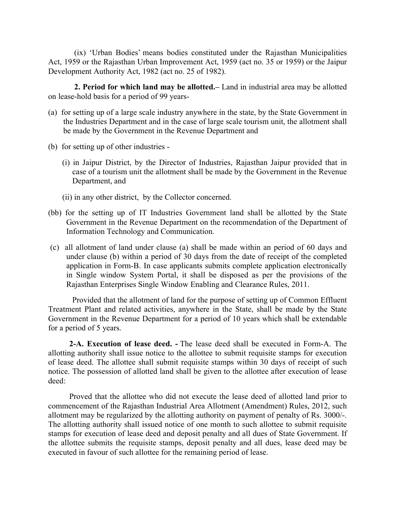(ix) 'Urban Bodies' means bodies constituted under the Rajasthan Municipalities Act, 1959 or the Rajasthan Urban Improvement Act, 1959 (act no. 35 or 1959) or the Jaipur Development Authority Act, 1982 (act no. 25 of 1982).

 **2. Period for which land may be allotted.–** Land in industrial area may be allotted on lease-hold basis for a period of 99 years-

- (a) for setting up of a large scale industry anywhere in the state, by the State Government in the Industries Department and in the case of large scale tourism unit, the allotment shall be made by the Government in the Revenue Department and
- (b) for setting up of other industries
	- (i) in Jaipur District, by the Director of Industries, Rajasthan Jaipur provided that in case of a tourism unit the allotment shall be made by the Government in the Revenue Department, and
	- (ii) in any other district, by the Collector concerned.
- (bb) for the setting up of IT Industries Government land shall be allotted by the State Government in the Revenue Department on the recommendation of the Department of Information Technology and Communication.
- (c) all allotment of land under clause (a) shall be made within an period of 60 days and under clause (b) within a period of 30 days from the date of receipt of the completed application in Form-B. In case applicants submits complete application electronically in Single window System Portal, it shall be disposed as per the provisions of the Rajasthan Enterprises Single Window Enabling and Clearance Rules, 2011.

Provided that the allotment of land for the purpose of setting up of Common Effluent Treatment Plant and related activities, anywhere in the State, shall be made by the State Government in the Revenue Department for a period of 10 years which shall be extendable for a period of 5 years.

**2-A. Execution of lease deed. -** The lease deed shall be executed in Form-A. The allotting authority shall issue notice to the allottee to submit requisite stamps for execution of lease deed. The allottee shall submit requisite stamps within 30 days of receipt of such notice. The possession of allotted land shall be given to the allottee after execution of lease deed:

Proved that the allottee who did not execute the lease deed of allotted land prior to commencement of the Rajasthan Industrial Area Allotment (Amendment) Rules, 2012, such allotment may be regularized by the allotting authority on payment of penalty of Rs. 3000/-. The allotting authority shall issued notice of one month to such allottee to submit requisite stamps for execution of lease deed and deposit penalty and all dues of State Government. If the allottee submits the requisite stamps, deposit penalty and all dues, lease deed may be executed in favour of such allottee for the remaining period of lease.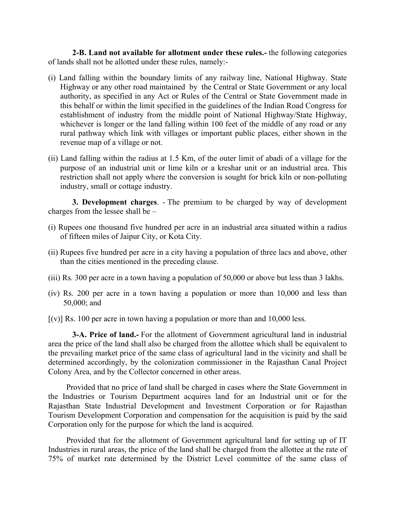**2-B. Land not available for allotment under these rules.-** the following categories of lands shall not be allotted under these rules, namely:-

- (i) Land falling within the boundary limits of any railway line, National Highway. State Highway or any other road maintained by the Central or State Government or any local authority, as specified in any Act or Rules of the Central or State Government made in this behalf or within the limit specified in the guidelines of the Indian Road Congress for establishment of industry from the middle point of National Highway/State Highway, whichever is longer or the land falling within 100 feet of the middle of any road or any rural pathway which link with villages or important public places, either shown in the revenue map of a village or not.
- (ii) Land falling within the radius at 1.5 Km, of the outer limit of abadi of a village for the purpose of an industrial unit or lime kiln or a kreshar unit or an industrial area. This restriction shall not apply where the conversion is sought for brick kiln or non-polluting industry, small or cottage industry.

**3. Development charges**. - The premium to be charged by way of development charges from the lessee shall be –

- (i) Rupees one thousand five hundred per acre in an industrial area situated within a radius of fifteen miles of Jaipur City, or Kota City.
- (ii) Rupees five hundred per acre in a city having a population of three lacs and above, other than the cities mentioned in the preceding clause.
- (iii) Rs. 300 per acre in a town having a population of 50,000 or above but less than 3 lakhs.
- (iv) Rs. 200 per acre in a town having a population or more than 10,000 and less than 50,000; and
- $[(v)]$  Rs. 100 per acre in town having a population or more than and 10,000 less.

**3-A. Price of land.-** For the allotment of Government agricultural land in industrial area the price of the land shall also be charged from the allottee which shall be equivalent to the prevailing market price of the same class of agricultural land in the vicinity and shall be determined accordingly, by the colonization commissioner in the Rajasthan Canal Project Colony Area, and by the Collector concerned in other areas.

Provided that no price of land shall be charged in cases where the State Government in the Industries or Tourism Department acquires land for an Industrial unit or for the Rajasthan State Industrial Development and Investment Corporation or for Rajasthan Tourism Development Corporation and compensation for the acquisition is paid by the said Corporation only for the purpose for which the land is acquired.

Provided that for the allotment of Government agricultural land for setting up of IT Industries in rural areas, the price of the land shall be charged from the allottee at the rate of 75% of market rate determined by the District Level committee of the same class of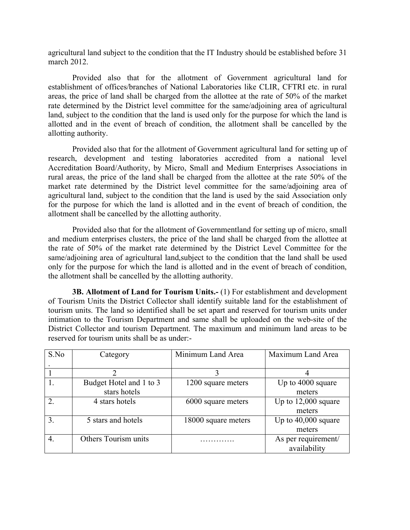agricultural land subject to the condition that the IT Industry should be established before 31 march 2012.

Provided also that for the allotment of Government agricultural land for establishment of offices/branches of National Laboratories like CLIR, CFTRI etc. in rural areas, the price of land shall be charged from the allottee at the rate of 50% of the market rate determined by the District level committee for the same/adjoining area of agricultural land, subject to the condition that the land is used only for the purpose for which the land is allotted and in the event of breach of condition, the allotment shall be cancelled by the allotting authority.

Provided also that for the allotment of Government agricultural land for setting up of research, development and testing laboratories accredited from a national level Accreditation Board/Authority, by Micro, Small and Medium Enterprises Associations in rural areas, the price of the land shall be charged from the allottee at the rate 50% of the market rate determined by the District level committee for the same/adjoining area of agricultural land, subject to the condition that the land is used by the said Association only for the purpose for which the land is allotted and in the event of breach of condition, the allotment shall be cancelled by the allotting authority.

Provided also that for the allotment of Governmentland for setting up of micro, small and medium enterprises clusters, the price of the land shall be charged from the allottee at the rate of 50% of the market rate determined by the District Level Committee for the same/adjoining area of agricultural land,subject to the condition that the land shall be used only for the purpose for which the land is allotted and in the event of breach of condition, the allotment shall be cancelled by the allotting authority.

**3B. Allotment of Land for Tourism Units.-** (1) For establishment and development of Tourism Units the District Collector shall identify suitable land for the establishment of tourism units. The land so identified shall be set apart and reserved for tourism units under intimation to the Tourism Department and same shall be uploaded on the web-site of the District Collector and tourism Department. The maximum and minimum land areas to be reserved for tourism units shall be as under:-

| S.No                        | Category                | Minimum Land Area   | Maximum Land Area     |
|-----------------------------|-------------------------|---------------------|-----------------------|
|                             |                         |                     |                       |
|                             |                         | 3                   | 4                     |
|                             | Budget Hotel and 1 to 3 | 1200 square meters  | Up to 4000 square     |
|                             | stars hotels            |                     | meters                |
| $\mathcal{D}_{\mathcal{L}}$ | 4 stars hotels          | 6000 square meters  | Up to $12,000$ square |
|                             |                         |                     | meters                |
| 3.                          | 5 stars and hotels      | 18000 square meters | Up to $40,000$ square |
|                             |                         |                     | meters                |
| 4.                          | Others Tourism units    |                     | As per requirement/   |
|                             |                         |                     | availability          |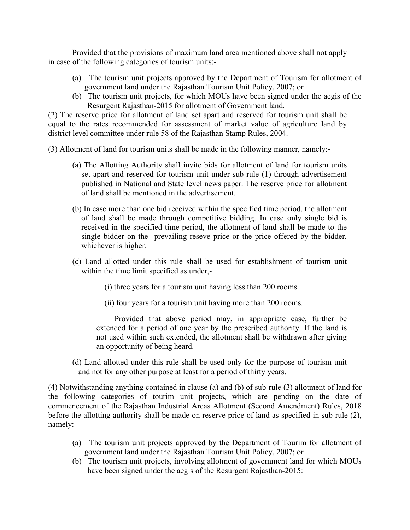Provided that the provisions of maximum land area mentioned above shall not apply in case of the following categories of tourism units:-

- (a) The tourism unit projects approved by the Department of Tourism for allotment of government land under the Rajasthan Tourism Unit Policy, 2007; or
- (b) The tourism unit projects, for which MOUs have been signed under the aegis of the Resurgent Rajasthan-2015 for allotment of Government land.

(2) The reserve price for allotment of land set apart and reserved for tourism unit shall be equal to the rates recommended for assessment of market value of agriculture land by district level committee under rule 58 of the Rajasthan Stamp Rules, 2004.

(3) Allotment of land for tourism units shall be made in the following manner, namely:-

- (a) The Allotting Authority shall invite bids for allotment of land for tourism units set apart and reserved for tourism unit under sub-rule (1) through advertisement published in National and State level news paper. The reserve price for allotment of land shall be mentioned in the advertisement.
- (b) In case more than one bid received within the specified time period, the allotment of land shall be made through competitive bidding. In case only single bid is received in the specified time period, the allotment of land shall be made to the single bidder on the prevailing reseve price or the price offered by the bidder, whichever is higher.
- (c) Land allotted under this rule shall be used for establishment of tourism unit within the time limit specified as under,-

(i) three years for a tourism unit having less than 200 rooms.

(ii) four years for a tourism unit having more than 200 rooms.

Provided that above period may, in appropriate case, further be extended for a period of one year by the prescribed authority. If the land is not used within such extended, the allotment shall be withdrawn after giving an opportunity of being heard.

(d) Land allotted under this rule shall be used only for the purpose of tourism unit and not for any other purpose at least for a period of thirty years.

(4) Notwithstanding anything contained in clause (a) and (b) of sub-rule (3) allotment of land for the following categories of tourim unit projects, which are pending on the date of commencement of the Rajasthan Industrial Areas Allotment (Second Amendment) Rules, 2018 before the allotting authority shall be made on reserve price of land as specified in sub-rule (2), namely:-

- (a) The tourism unit projects approved by the Department of Tourim for allotment of government land under the Rajasthan Tourism Unit Policy, 2007; or
- (b) The tourism unit projects, involving allotment of government land for which MOUs have been signed under the aegis of the Resurgent Rajasthan-2015: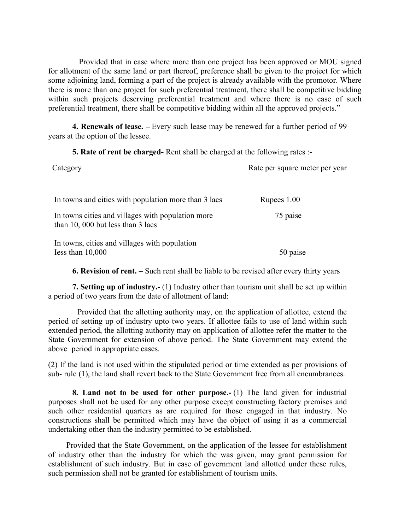Provided that in case where more than one project has been approved or MOU signed for allotment of the same land or part thereof, preference shall be given to the project for which some adjoining land, forming a part of the project is already available with the promotor. Where there is more than one project for such preferential treatment, there shall be competitive bidding within such projects deserving preferential treatment and where there is no case of such preferential treatment, there shall be competitive bidding within all the approved projects."

**4. Renewals of lease. –** Every such lease may be renewed for a further period of 99 years at the option of the lessee.

**5. Rate of rent be charged-** Rent shall be charged at the following rates :-

| Category                                                                               | Rate per square meter per year |
|----------------------------------------------------------------------------------------|--------------------------------|
| In towns and cities with population more than 3 lacs                                   | Rupees 1.00                    |
| In towns cities and villages with population more<br>than 10, 000 but less than 3 lacs | 75 paise                       |
| In towns, cities and villages with population<br>Iess than $10,000$                    | 50 paise                       |

**6. Revision of rent. –** Such rent shall be liable to be revised after every thirty years

 **7. Setting up of industry.-** (1) Industry other than tourism unit shall be set up within a period of two years from the date of allotment of land:

 Provided that the allotting authority may, on the application of allottee, extend the period of setting up of industry upto two years. If allottee fails to use of land within such extended period, the allotting authority may on application of allottee refer the matter to the State Government for extension of above period. The State Government may extend the above period in appropriate cases.

(2) If the land is not used within the stipulated period or time extended as per provisions of sub- rule (1), the land shall revert back to the State Government free from all encumbrances.

**8. Land not to be used for other purpose.-** (1) The land given for industrial purposes shall not be used for any other purpose except constructing factory premises and such other residential quarters as are required for those engaged in that industry. No constructions shall be permitted which may have the object of using it as a commercial undertaking other than the industry permitted to be established.

Provided that the State Government, on the application of the lessee for establishment of industry other than the industry for which the was given, may grant permission for establishment of such industry. But in case of government land allotted under these rules, such permission shall not be granted for establishment of tourism units.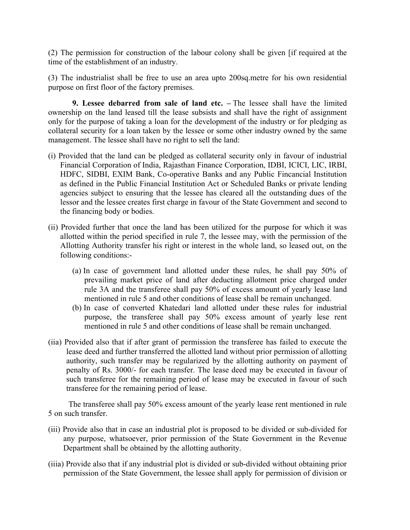(2) The permission for construction of the labour colony shall be given [if required at the time of the establishment of an industry.

(3) The industrialist shall be free to use an area upto 200sq.metre for his own residential purpose on first floor of the factory premises.

**9. Lessee debarred from sale of land etc. –** The lessee shall have the limited ownership on the land leased till the lease subsists and shall have the right of assignment only for the purpose of taking a loan for the development of the industry or for pledging as collateral security for a loan taken by the lessee or some other industry owned by the same management. The lessee shall have no right to sell the land:

- (i) Provided that the land can be pledged as collateral security only in favour of industrial Financial Corporation of India, Rajasthan Finance Corporation, IDBI, ICICI, LIC, IRBI, HDFC, SIDBI, EXIM Bank, Co-operative Banks and any Public Fincancial Institution as defined in the Public Financial Institution Act or Scheduled Banks or private lending agencies subject to ensuring that the lessee has cleared all the outstanding dues of the lessor and the lessee creates first charge in favour of the State Government and second to the financing body or bodies.
- (ii) Provided further that once the land has been utilized for the purpose for which it was allotted within the period specified in rule 7, the lessee may, with the permission of the Allotting Authority transfer his right or interest in the whole land, so leased out, on the following conditions:-
	- (a) In case of government land allotted under these rules, he shall pay 50% of prevailing market price of land after deducting allotment price charged under rule 3A and the transferee shall pay 50% of excess amount of yearly lease land mentioned in rule 5 and other conditions of lease shall be remain unchanged.
	- (b) In case of converted Khatedari land allotted under these rules for industrial purpose, the transferee shall pay 50% excess amount of yearly lese rent mentioned in rule 5 and other conditions of lease shall be remain unchanged.
- (iia) Provided also that if after grant of permission the transferee has failed to execute the lease deed and further transferred the allotted land without prior permission of allotting authority, such transfer may be regularized by the allotting authority on payment of penalty of Rs. 3000/- for each transfer. The lease deed may be executed in favour of such transferee for the remaining period of lease may be executed in favour of such transferee for the remaining period of lease.

 The transferee shall pay 50% excess amount of the yearly lease rent mentioned in rule 5 on such transfer.

- (iii) Provide also that in case an industrial plot is proposed to be divided or sub-divided for any purpose, whatsoever, prior permission of the State Government in the Revenue Department shall be obtained by the allotting authority.
- (iiia) Provide also that if any industrial plot is divided or sub-divided without obtaining prior permission of the State Government, the lessee shall apply for permission of division or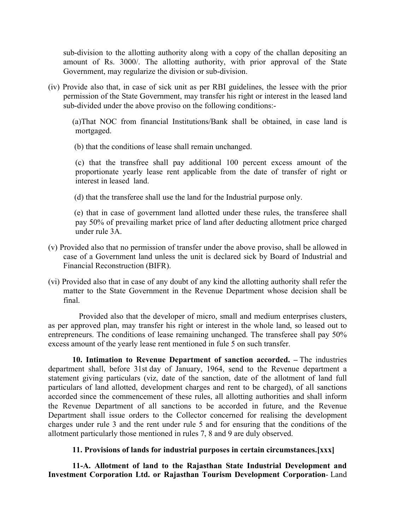sub-division to the allotting authority along with a copy of the challan depositing an amount of Rs. 3000/. The allotting authority, with prior approval of the State Government, may regularize the division or sub-division.

(iv) Provide also that, in case of sick unit as per RBI guidelines, the lessee with the prior permission of the State Government, may transfer his right or interest in the leased land sub-divided under the above proviso on the following conditions:-

(a)That NOC from financial Institutions/Bank shall be obtained, in case land is mortgaged.

(b) that the conditions of lease shall remain unchanged.

 (c) that the transfree shall pay additional 100 percent excess amount of the proportionate yearly lease rent applicable from the date of transfer of right or interest in leased land.

(d) that the transferee shall use the land for the Industrial purpose only.

 (e) that in case of government land allotted under these rules, the transferee shall pay 50% of prevailing market price of land after deducting allotment price charged under rule 3A.

- (v) Provided also that no permission of transfer under the above proviso, shall be allowed in case of a Government land unless the unit is declared sick by Board of Industrial and Financial Reconstruction (BIFR).
- (vi) Provided also that in case of any doubt of any kind the allotting authority shall refer the matter to the State Government in the Revenue Department whose decision shall be final.

 Provided also that the developer of micro, small and medium enterprises clusters, as per approved plan, may transfer his right or interest in the whole land, so leased out to entrepreneurs. The conditions of lease remaining unchanged. The transferee shall pay 50% excess amount of the yearly lease rent mentioned in fule 5 on such transfer.

**10. Intimation to Revenue Department of sanction accorded. –** The industries department shall, before 31st day of January, 1964, send to the Revenue department a statement giving particulars (viz, date of the sanction, date of the allotment of land full particulars of land allotted, development charges and rent to be charged), of all sanctions accorded since the commencement of these rules, all allotting authorities and shall inform the Revenue Department of all sanctions to be accorded in future, and the Revenue Department shall issue orders to the Collector concerned for realising the development charges under rule 3 and the rent under rule 5 and for ensuring that the conditions of the allotment particularly those mentioned in rules 7, 8 and 9 are duly observed.

## **11. Provisions of lands for industrial purposes in certain circumstances.[xxx]**

**11-A. Allotment of land to the Rajasthan State Industrial Development and Investment Corporation Ltd. or Rajasthan Tourism Development Corporation**- Land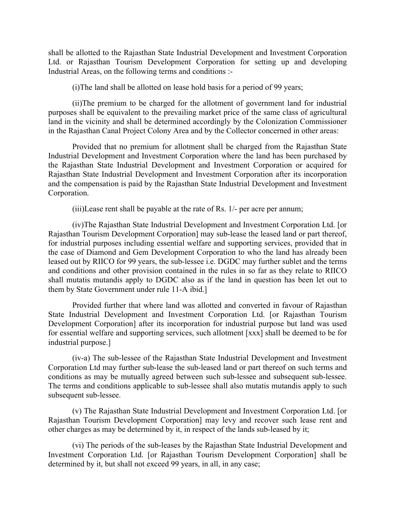shall be allotted to the Rajasthan State Industrial Development and Investment Corporation Ltd. or Rajasthan Tourism Development Corporation for setting up and developing Industrial Areas, on the following terms and conditions :-

(i)The land shall be allotted on lease hold basis for a period of 99 years;

(ii)The premium to be charged for the allotment of government land for industrial purposes shall be equivalent to the prevailing market price of the same class of agricultural land in the vicinity and shall be determined accordingly by the Colonization Commissioner in the Rajasthan Canal Project Colony Area and by the Collector concerned in other areas:

 Provided that no premium for allotment shall be charged from the Rajasthan State Industrial Development and Investment Corporation where the land has been purchased by the Rajasthan State Industrial Development and Investment Corporation or acquired for Rajasthan State Industrial Development and Investment Corporation after its incorporation and the compensation is paid by the Rajasthan State Industrial Development and Investment Corporation.

(iii)Lease rent shall be payable at the rate of Rs. 1/- per acre per annum;

(iv)The Rajasthan State Industrial Development and Investment Corporation Ltd. [or Rajasthan Tourism Development Corporation] may sub-lease the leased land or part thereof, for industrial purposes including essential welfare and supporting services, provided that in the case of Diamond and Gem Development Corporation to who the land has already been leased out by RIICO for 99 years, the sub-lessee i.e. DGDC may further sublet and the terms and conditions and other provision contained in the rules in so far as they relate to RIICO shall mutatis mutandis apply to DGDC also as if the land in question has been let out to them by State Government under rule 11-A ibid.]

Provided further that where land was allotted and converted in favour of Rajasthan State Industrial Development and Investment Corporation Ltd. [or Rajasthan Tourism Development Corporation] after its incorporation for industrial purpose but land was used for essential welfare and supporting services, such allotment [xxx] shall be deemed to be for industrial purpose.]

(iv-a) The sub-lessee of the Rajasthan State Industrial Development and Investment Corporation Ltd may further sub-lease the sub-leased land or part thereof on such terms and conditions as may be mutually agreed between such sub-lessee and subsequent sub-lessee. The terms and conditions applicable to sub-lessee shall also mutatis mutandis apply to such subsequent sub-lessee.

(v) The Rajasthan State Industrial Development and Investment Corporation Ltd. [or Rajasthan Tourism Development Corporation] may levy and recover such lease rent and other charges as may be determined by it, in respect of the lands sub-leased by it;

(vi) The periods of the sub-leases by the Rajasthan State Industrial Development and Investment Corporation Ltd. [or Rajasthan Tourism Development Corporation] shall be determined by it, but shall not exceed 99 years, in all, in any case;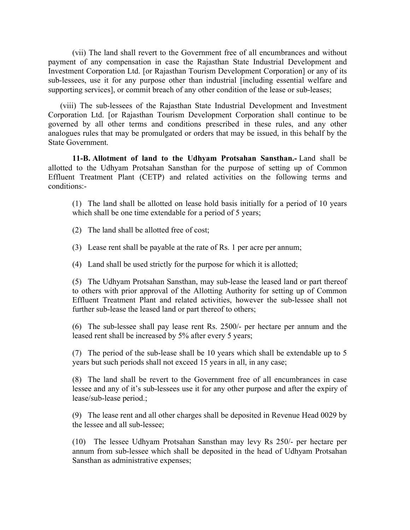(vii) The land shall revert to the Government free of all encumbrances and without payment of any compensation in case the Rajasthan State Industrial Development and Investment Corporation Ltd. [or Rajasthan Tourism Development Corporation] or any of its sub-lessees, use it for any purpose other than industrial [including essential welfare and supporting services], or commit breach of any other condition of the lease or sub-leases;

(viii) The sub-lessees of the Rajasthan State Industrial Development and Investment Corporation Ltd. [or Rajasthan Tourism Development Corporation shall continue to be governed by all other terms and conditions prescribed in these rules, and any other analogues rules that may be promulgated or orders that may be issued, in this behalf by the State Government.

**11-B. Allotment of land to the Udhyam Protsahan Sansthan.-** Land shall be allotted to the Udhyam Protsahan Sansthan for the purpose of setting up of Common Effluent Treatment Plant (CETP) and related activities on the following terms and conditions:-

(1) The land shall be allotted on lease hold basis initially for a period of 10 years which shall be one time extendable for a period of 5 years;

(2) The land shall be allotted free of cost;

- (3) Lease rent shall be payable at the rate of Rs. 1 per acre per annum;
- (4) Land shall be used strictly for the purpose for which it is allotted;

(5) The Udhyam Protsahan Sansthan, may sub-lease the leased land or part thereof to others with prior approval of the Allotting Authority for setting up of Common Effluent Treatment Plant and related activities, however the sub-lessee shall not further sub-lease the leased land or part thereof to others;

(6) The sub-lessee shall pay lease rent Rs. 2500/- per hectare per annum and the leased rent shall be increased by 5% after every 5 years;

(7) The period of the sub-lease shall be 10 years which shall be extendable up to 5 years but such periods shall not exceed 15 years in all, in any case;

(8) The land shall be revert to the Government free of all encumbrances in case lessee and any of it's sub-lessees use it for any other purpose and after the expiry of lease/sub-lease period.;

(9) The lease rent and all other charges shall be deposited in Revenue Head 0029 by the lessee and all sub-lessee;

(10) The lessee Udhyam Protsahan Sansthan may levy Rs 250/- per hectare per annum from sub-lessee which shall be deposited in the head of Udhyam Protsahan Sansthan as administrative expenses;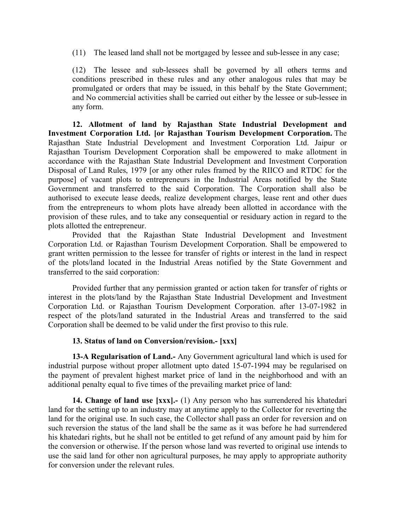(11) The leased land shall not be mortgaged by lessee and sub-lessee in any case;

(12) The lessee and sub-lessees shall be governed by all others terms and conditions prescribed in these rules and any other analogous rules that may be promulgated or orders that may be issued, in this behalf by the State Government; and No commercial activities shall be carried out either by the lessee or sub-lessee in any form.

**12. Allotment of land by Rajasthan State Industrial Development and Investment Corporation Ltd. [or Rajasthan Tourism Development Corporation.** The Rajasthan State Industrial Development and Investment Corporation Ltd. Jaipur or Rajasthan Tourism Development Corporation shall be empowered to make allotment in accordance with the Rajasthan State Industrial Development and Investment Corporation Disposal of Land Rules, 1979 [or any other rules framed by the RIICO and RTDC for the purpose] of vacant plots to entrepreneurs in the Industrial Areas notified by the State Government and transferred to the said Corporation. The Corporation shall also be authorised to execute lease deeds, realize development charges, lease rent and other dues from the entrepreneurs to whom plots have already been allotted in accordance with the provision of these rules, and to take any consequential or residuary action in regard to the plots allotted the entrepreneur.

Provided that the Rajasthan State Industrial Development and Investment Corporation Ltd. or Rajasthan Tourism Development Corporation. Shall be empowered to grant written permission to the lessee for transfer of rights or interest in the land in respect of the plots/land located in the Industrial Areas notified by the State Government and transferred to the said corporation:

Provided further that any permission granted or action taken for transfer of rights or interest in the plots/land by the Rajasthan State Industrial Development and Investment Corporation Ltd. or Rajasthan Tourism Development Corporation. after 13-07-1982 in respect of the plots/land saturated in the Industrial Areas and transferred to the said Corporation shall be deemed to be valid under the first proviso to this rule.

## **13. Status of land on Conversion/revision.- [xxx]**

**13-A Regularisation of Land.-** Any Government agricultural land which is used for industrial purpose without proper allotment upto dated 15-07-1994 may be regularised on the payment of prevalent highest market price of land in the neighborhood and with an additional penalty equal to five times of the prevailing market price of land:

**14. Change of land use [xxx].-** (1) Any person who has surrendered his khatedari land for the setting up to an industry may at anytime apply to the Collector for reverting the land for the original use. In such case, the Collector shall pass an order for reversion and on such reversion the status of the land shall be the same as it was before he had surrendered his khatedari rights, but he shall not be entitled to get refund of any amount paid by him for the conversion or otherwise. If the person whose land was reverted to original use intends to use the said land for other non agricultural purposes, he may apply to appropriate authority for conversion under the relevant rules.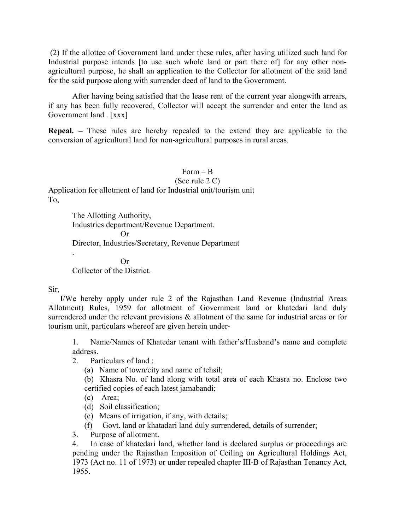(2) If the allottee of Government land under these rules, after having utilized such land for Industrial purpose intends [to use such whole land or part there of] for any other nonagricultural purpose, he shall an application to the Collector for allotment of the said land for the said purpose along with surrender deed of land to the Government.

After having being satisfied that the lease rent of the current year alongwith arrears, if any has been fully recovered, Collector will accept the surrender and enter the land as Government land . [xxx]

**Repeal. –** These rules are hereby repealed to the extend they are applicable to the conversion of agricultural land for non-agricultural purposes in rural areas.

 $Form - B$ (See rule 2 C) Application for allotment of land for Industrial unit/tourism unit To,

> The Allotting Authority, Industries department/Revenue Department. Or Director, Industries/Secretary, Revenue Department

> > Or

Collector of the District.

## Sir,

.

I/We hereby apply under rule 2 of the Rajasthan Land Revenue (Industrial Areas Allotment) Rules, 1959 for allotment of Government land or khatedari land duly surrendered under the relevant provisions  $\&$  allotment of the same for industrial areas or for tourism unit, particulars whereof are given herein under-

1. Name/Names of Khatedar tenant with father's/Husband's name and complete address.

2. Particulars of land ;

(a) Name of town/city and name of tehsil;

(b) Khasra No. of land along with total area of each Khasra no. Enclose two certified copies of each latest jamabandi;

(c) Area;

- (d) Soil classification;
- (e) Means of irrigation, if any, with details;
- (f) Govt. land or khatadari land duly surrendered, details of surrender;
- 3. Purpose of allotment.

4. In case of khatedari land, whether land is declared surplus or proceedings are pending under the Rajasthan Imposition of Ceiling on Agricultural Holdings Act, 1973 (Act no. 11 of 1973) or under repealed chapter III-B of Rajasthan Tenancy Act, 1955.